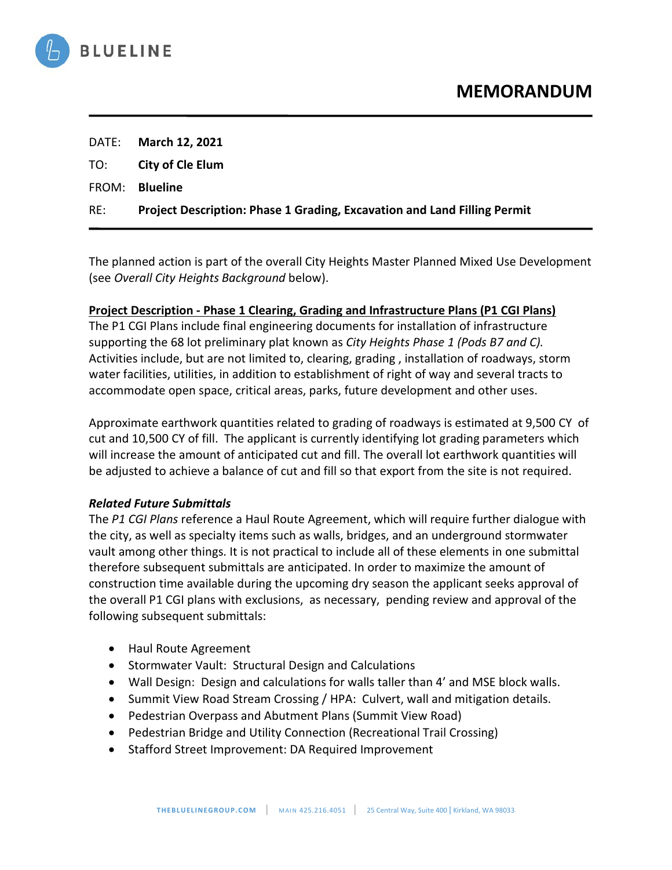

|     | DATE: March 12, 2021                                                     |
|-----|--------------------------------------------------------------------------|
|     | TO: <b>City of Cle Elum</b>                                              |
|     | FROM: <b>Blueline</b>                                                    |
| RE: | Project Description: Phase 1 Grading, Excavation and Land Filling Permit |

The planned action is part of the overall City Heights Master Planned Mixed Use Development (see *Overall City Heights Background* below).

## **Project Description - Phase 1 Clearing, Grading and Infrastructure Plans (P1 CGI Plans)**

The P1 CGI Plans include final engineering documents for installation of infrastructure supporting the 68 lot preliminary plat known as *City Heights Phase 1 (Pods B7 and C).*  Activities include, but are not limited to, clearing, grading , installation of roadways, storm water facilities, utilities, in addition to establishment of right of way and several tracts to accommodate open space, critical areas, parks, future development and other uses.

Approximate earthwork quantities related to grading of roadways is estimated at 9,500 CY of cut and 10,500 CY of fill. The applicant is currently identifying lot grading parameters which will increase the amount of anticipated cut and fill. The overall lot earthwork quantities will be adjusted to achieve a balance of cut and fill so that export from the site is not required.

## *Related Future Submittals*

The *P1 CGI Plans* reference a Haul Route Agreement, which will require further dialogue with the city, as well as specialty items such as walls, bridges, and an underground stormwater vault among other things. It is not practical to include all of these elements in one submittal therefore subsequent submittals are anticipated. In order to maximize the amount of construction time available during the upcoming dry season the applicant seeks approval of the overall P1 CGI plans with exclusions, as necessary, pending review and approval of the following subsequent submittals:

- Haul Route Agreement
- Stormwater Vault: Structural Design and Calculations
- Wall Design: Design and calculations for walls taller than 4' and MSE block walls.
- Summit View Road Stream Crossing / HPA: Culvert, wall and mitigation details.
- Pedestrian Overpass and Abutment Plans (Summit View Road)
- Pedestrian Bridge and Utility Connection (Recreational Trail Crossing)
- Stafford Street Improvement: DA Required Improvement